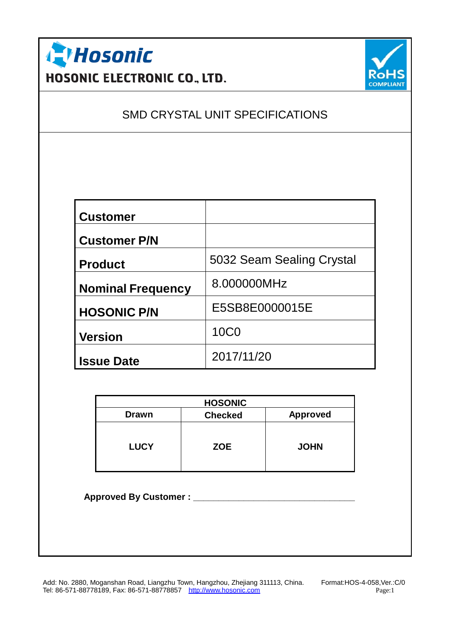



### SMD CRYSTAL UNIT SPECIFICATIONS

| <b>Customer</b>          |                           |
|--------------------------|---------------------------|
| <b>Customer P/N</b>      |                           |
| <b>Product</b>           | 5032 Seam Sealing Crystal |
| <b>Nominal Frequency</b> | 8.000000MHz               |
| <b>HOSONIC P/N</b>       | E5SB8E0000015E            |
| <b>Version</b>           | <b>10C0</b>               |
| <b>Issue Date</b>        | 2017/11/20                |

|              | <b>HOSONIC</b> |                 |
|--------------|----------------|-----------------|
| <b>Drawn</b> | <b>Checked</b> | <b>Approved</b> |
| <b>LUCY</b>  | <b>ZOE</b>     | <b>JOHN</b>     |

**Approved By Customer : \_\_\_\_\_\_\_\_\_\_\_\_\_\_\_\_\_\_\_\_\_\_\_\_\_\_\_\_\_\_\_\_**

Add: No. 2880, Moganshan Road, Liangzhu Town, Hangzhou, Zhejiang 311113, China. Format:HOS-4-058,Ver.:C/0 Tel: 86-571-88778189, Fax: 86-571-88778857 <http://www.hosonic.com> Page: 1 Page: 1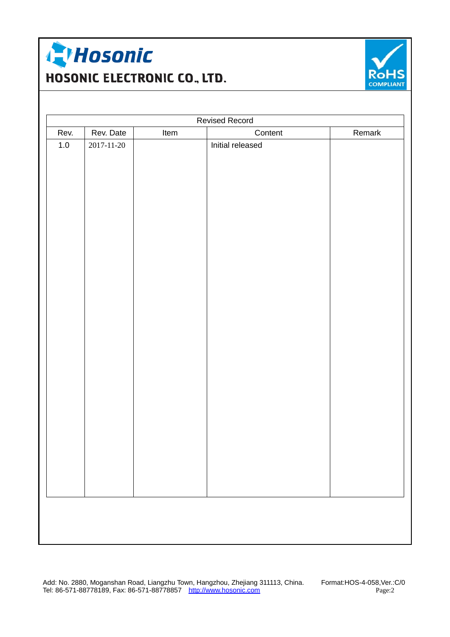



| <b>Revised Record</b> |                  |      |                  |        |  |
|-----------------------|------------------|------|------------------|--------|--|
| Rev.                  | Rev. Date        | Item | Content          | Remark |  |
| $1.0\,$               | $2017 - 11 - 20$ |      | Initial released |        |  |
|                       |                  |      |                  |        |  |

Add: No. 2880, Moganshan Road, Liangzhu Town, Hangzhou, Zhejiang 311113, China. Format:HOS-4-058,Ver.:C/0 Tel: 86-571-88778189, Fax: 86-571-88778857 <http://www.hosonic.com> Page:2 Page:2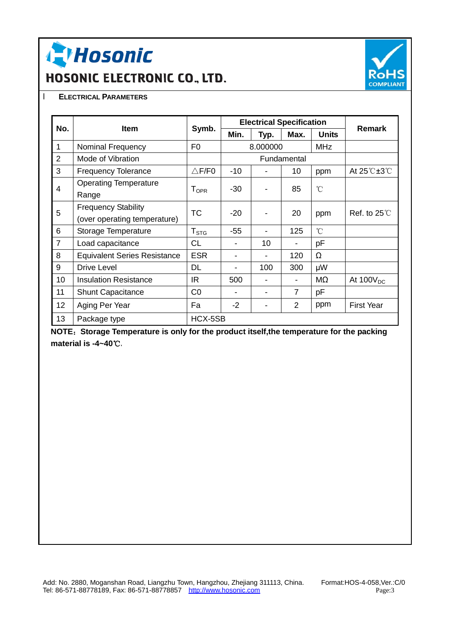**I Hosonic** 

# HOSONIC ELECTRONIC CO., LTD.



#### l **ELECTRICAL PARAMETERS**

|                |                                                            |                         | <b>Electrical Specification</b> |          |                |                 |                                             |
|----------------|------------------------------------------------------------|-------------------------|---------------------------------|----------|----------------|-----------------|---------------------------------------------|
| No.            | <b>Item</b>                                                | Symb.                   | Min.                            | Typ.     | Max.           | <b>Units</b>    | <b>Remark</b>                               |
| 1              | Nominal Frequency                                          | F <sub>0</sub>          |                                 | 8.000000 |                | <b>MHz</b>      |                                             |
| $\overline{2}$ | Mode of Vibration                                          |                         |                                 |          | Fundamental    |                 |                                             |
| 3              | <b>Frequency Tolerance</b>                                 | $\triangle$ F/F0        | $-10$                           |          | 10             | ppm             | At $25^\circ \text{C} \pm 3^\circ \text{C}$ |
| $\overline{4}$ | <b>Operating Temperature</b><br>Range                      | <b>T</b> <sub>OPR</sub> | $-30$                           |          | 85             | $\rm ^{\circ}C$ |                                             |
| 5              | <b>Frequency Stability</b><br>(over operating temperature) | <b>TC</b>               | $-20$                           |          | 20             | ppm             | Ref. to $25^{\circ}$                        |
| 6              | Storage Temperature                                        | $T_{\mathtt{STG}}$      | $-55$                           |          | 125            | $\rm ^{\circ}C$ |                                             |
| $\overline{7}$ | Load capacitance                                           | <b>CL</b>               |                                 | 10       |                | pF              |                                             |
| 8              | <b>Equivalent Series Resistance</b>                        | <b>ESR</b>              | $\overline{\phantom{0}}$        |          | 120            | Ω               |                                             |
| 9              | Drive Level                                                | <b>DL</b>               |                                 | 100      | 300            | μW              |                                             |
| 10             | <b>Insulation Resistance</b>                               | IR.                     | 500                             |          |                | ΜΩ              | At $100V_{DC}$                              |
| 11             | <b>Shunt Capacitance</b>                                   | CO                      | $\overline{\phantom{0}}$        |          | 7              | pF              |                                             |
| 12             | Aging Per Year                                             | Fa                      | $-2$                            |          | $\overline{2}$ | ppm             | <b>First Year</b>                           |
| 13             | Package type                                               | HCX-5SB                 |                                 |          |                |                 |                                             |

**NOTE:Storage Temperature is only for the product itself,the temperature for the packing material is -4~40℃.**

Add: No. 2880, Moganshan Road, Liangzhu Town, Hangzhou, Zhejiang 311113, China. Format:HOS-4-058,Ver.:C/0 Tel: 86-571-88778189, Fax: 86-571-88778857 <http://www.hosonic.com> Page:3 Page:3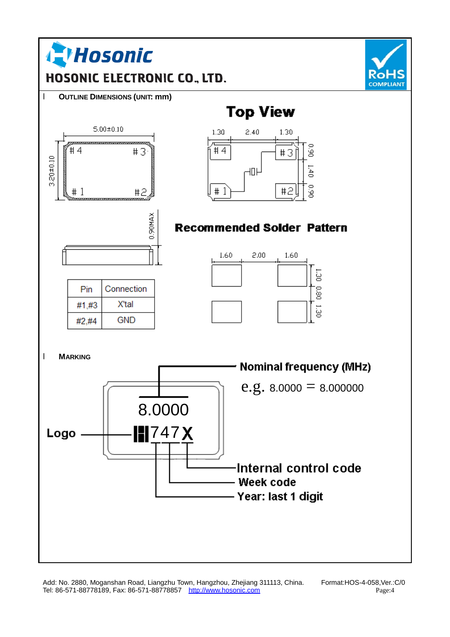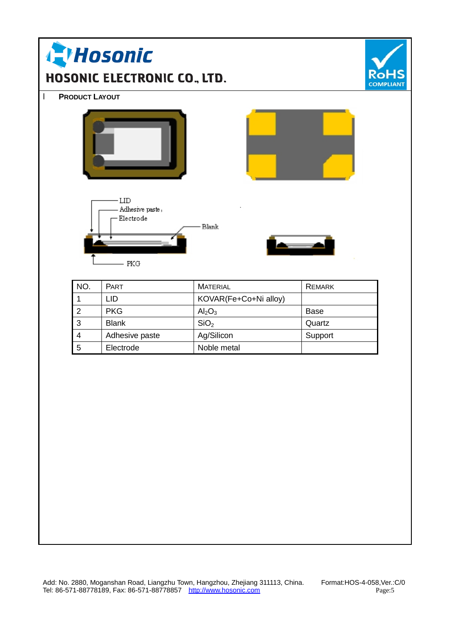| LID<br>Adhesive paste,<br>Electrode<br>Blank<br>- PKG<br>NO.<br>PART<br><b>MATERIAL</b><br><b>REMARK</b><br>KOVAR(Fe+Co+Ni alloy)<br>$\mathbf 1$<br><b>LID</b><br>$\overline{2}$<br><b>PKG</b><br>Al <sub>2</sub> O <sub>3</sub><br>Base<br>3<br>SiO <sub>2</sub><br><b>Blank</b><br>Quartz<br>Ag/Silicon<br>Support<br>$\overline{\mathbf{4}}$<br>Adhesive paste<br>5<br>Noble metal<br>Electrode |  | <b>PRODUCT LAYOUT</b> |  |  |
|----------------------------------------------------------------------------------------------------------------------------------------------------------------------------------------------------------------------------------------------------------------------------------------------------------------------------------------------------------------------------------------------------|--|-----------------------|--|--|
|                                                                                                                                                                                                                                                                                                                                                                                                    |  |                       |  |  |
|                                                                                                                                                                                                                                                                                                                                                                                                    |  |                       |  |  |
|                                                                                                                                                                                                                                                                                                                                                                                                    |  |                       |  |  |
|                                                                                                                                                                                                                                                                                                                                                                                                    |  |                       |  |  |
|                                                                                                                                                                                                                                                                                                                                                                                                    |  |                       |  |  |
|                                                                                                                                                                                                                                                                                                                                                                                                    |  |                       |  |  |
|                                                                                                                                                                                                                                                                                                                                                                                                    |  |                       |  |  |
|                                                                                                                                                                                                                                                                                                                                                                                                    |  |                       |  |  |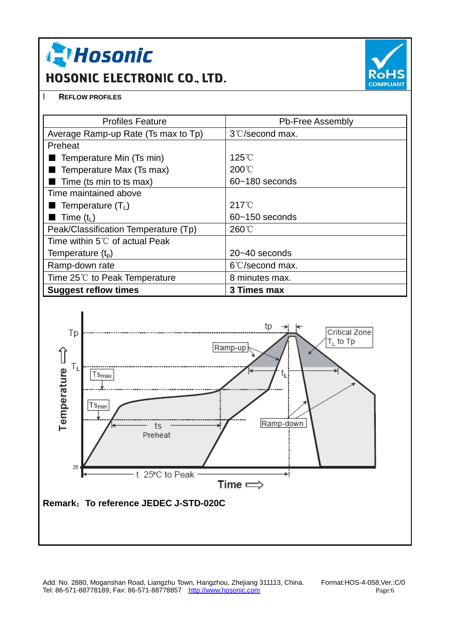**A Hosonic** 

## HOSONIC ELECTRONIC CO., LTD.



#### l **REFLOW PROFILES**

| <b>Profiles Feature</b>                  | <b>Pb-Free Assembly</b>   |
|------------------------------------------|---------------------------|
| Average Ramp-up Rate (Ts max to Tp)      | 3°C/second max.           |
| Preheat                                  |                           |
| Temperature Min (Ts min)                 | $125^{\circ}$ C           |
| Temperature Max (Ts max)                 | $200^{\circ}$             |
| Time (ts min to ts max)                  | $60 - 180$ seconds        |
| Time maintained above                    |                           |
| <b>Temperature (T<sub>L</sub>)</b>       | $217^{\circ}$             |
| Time (t $_L$ )                           | $60 - 150$ seconds        |
| Peak/Classification Temperature (Tp)     | $260^{\circ}$ C           |
| Time within 5 $\degree$ C of actual Peak |                           |
| Temperature (t <sub>p</sub> )            | $20 - 40$ seconds         |
| Ramp-down rate                           | $6^{\circ}$ C/second max. |
| Time $25^{\circ}$ to Peak Temperature    | 8 minutes max.            |
| <b>Suggest reflow times</b>              | 3 Times max               |



Add: No. 2880, Moganshan Road, Liangzhu Town, Hangzhou, Zhejiang 311113, China. Format:HOS-4-058,Ver.:C/0 Tel: 86-571-88778189, Fax: 86-571-88778857 <http://www.hosonic.com> extended that the Page:6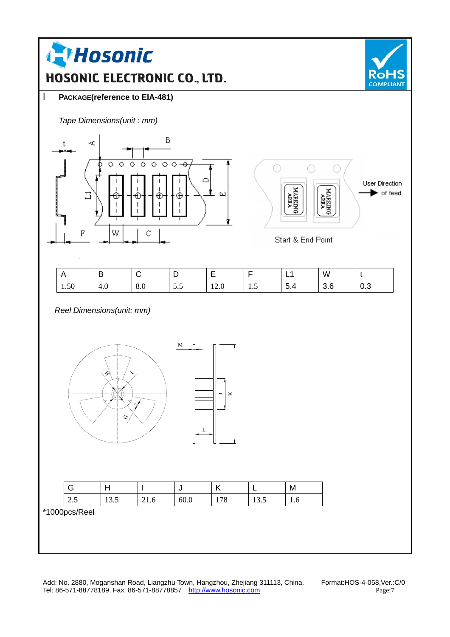

Add: No. 2880, Moganshan Road, Liangzhu Town, Hangzhou, Zhejiang 311113, China. Format:HOS-4-058,Ver.:C/0 Tel: 86-571-88778189, Fax: 86-571-88778857 <u><http://www.hosonic.com></u> Page:7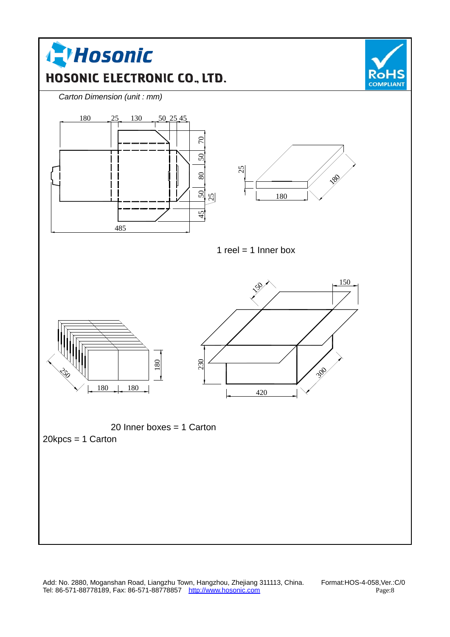

Add: No. 2880, Moganshan Road, Liangzhu Town, Hangzhou, Zhejiang 311113, China. Format:HOS-4-058,Ver.:C/0 Tel: 86-571-88778189, Fax: 86-571-88778857 <http://www.hosonic.com> Page:8 Page:8